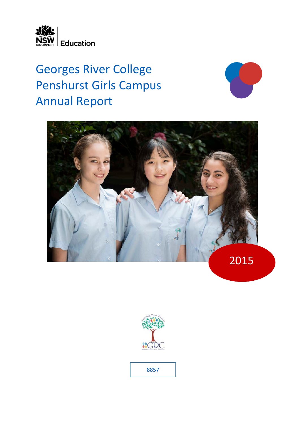

# Georges River College Penshurst Girls Campus Annual Report







8857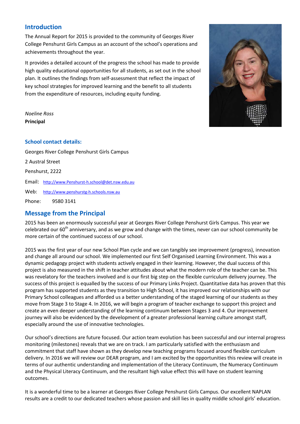# **Introduction**

The Annual Report for 2015 is provided to the community of Georges River College Penshurst Girls Campus as an account of the school's operations and achievements throughout the year.

It provides a detailed account of the progress the school has made to provide high quality educational opportunities for all students, as set out in the school plan. It outlines the findings from self-assessment that reflect the impact of key school strategies for improved learning and the benefit to all students from the expenditure of resources, including equity funding.



*Noeline Ross* **Principal**

# **School contact details:**

Georges River College Penshurst Girls Campus 2 Austral Street Penshurst, 2222 Email: [http://www.Penshurst-h.school@det.nsw.edu.au](http://www.Penshurst-h.school@det.nsw.edu.au/) Web: [http://www.penshurstg-h.schools.nsw.au](http://www.penshurstg-h.schools.nsw.au/) Phone: 9580 3141

# **Message from the Principal**

2015 has been an enormously successful year at Georges River College Penshurst Girls Campus. This year we celebrated our 60<sup>th</sup> anniversary, and as we grow and change with the times, never can our school community be more certain of the continued success of our school.

2015 was the first year of our new School Plan cycle and we can tangibly see improvement (progress), innovation and change all around our school. We implemented our first Self Organised Learning Environment. This was a dynamic pedagogy project with students actively engaged in their learning. However, the dual success of this project is also measured in the shift in teacher attitudes about what the modern role of the teacher can be. This was revelatory for the teachers involved and is our first big step on the flexible curriculum delivery journey. The success of this project is equalled by the success of our Primary Links Project. Quantitative data has proven that this program has supported students as they transition to High School, it has improved our relationships with our Primary School colleagues and afforded us a better understanding of the staged learning of our students as they move from Stage 3 to Stage 4. In 2016, we will begin a program of teacher exchange to support this project and create an even deeper understanding of the learning continuum between Stages 3 and 4. Our improvement journey will also be evidenced by the development of a greater professional learning culture amongst staff, especially around the use of innovative technologies.

Our school's directions are future focused. Our action team evolution has been successful and our internal progress monitoring (milestones) reveals that we are on track. I am particularly satisfied with the enthusiasm and commitment that staff have shown as they develop new teaching programs focused around flexible curriculum delivery. In 2016 we will review our DEAR program, and I am excited by the opportunities this review will create in terms of our authentic understanding and implementation of the Literacy Continuum, the Numeracy Continuum and the Physical Literacy Continuum, and the resultant high value effect this will have on student learning outcomes.

It is a wonderful time to be a learner at Georges River College Penshurst Girls Campus. Our excellent NAPLAN results are a credit to our dedicated teachers whose passion and skill lies in quality middle school girls' education.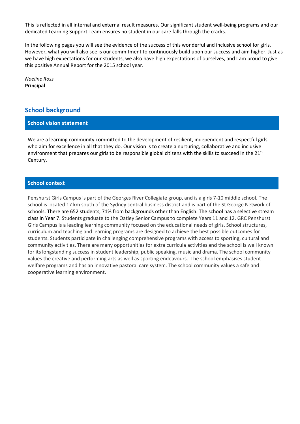This is reflected in all internal and external result measures. Our significant student well-being programs and our dedicated Learning Support Team ensures no student in our care falls through the cracks.

In the following pages you will see the evidence of the success of this wonderful and inclusive school for girls. However, what you will also see is our commitment to continuously build upon our success and aim higher. Just as we have high expectations for our students, we also have high expectations of ourselves, and I am proud to give this positive Annual Report for the 2015 school year.

*Noeline Ross* **Principal**

# **School background**

## **School vision statement**

We are a learning community committed to the development of resilient, independent and respectful girls who aim for excellence in all that they do. Our vision is to create a nurturing, collaborative and inclusive environment that prepares our girls to be responsible global citizens with the skills to succeed in the 21<sup>st</sup> Century.

## **School context**

Penshurst Girls Campus is part of the Georges River Collegiate group, and is a girls 7-10 middle school. The school is located 17 km south of the Sydney central business district and is part of the St George Network of schools. There are 652 students, 71% from backgrounds other than English. The school has a selective stream class in Year 7. Students graduate to the Oatley Senior Campus to complete Years 11 and 12. GRC Penshurst Girls Campus is a leading learning community focused on the educational needs of girls. School structures, curriculum and teaching and learning programs are designed to achieve the best possible outcomes for students. Students participate in challenging comprehensive programs with access to sporting, cultural and community activities. There are many opportunities for extra curricula activities and the school is well known for its longstanding success in student leadership, public speaking, music and drama. The school community values the creative and performing arts as well as sporting endeavours. The school emphasises student welfare programs and has an innovative pastoral care system. The school community values a safe and cooperative learning environment.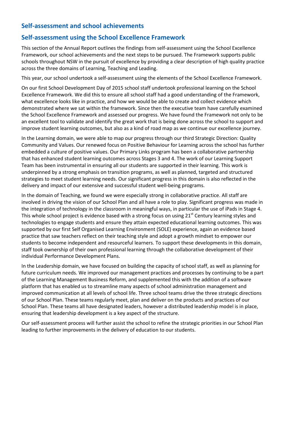# **Self-assessment and school achievements**

# **Self-assessment using the School Excellence Framework**

This section of the Annual Report outlines the findings from self-assessment using the School Excellence Framework, our school achievements and the next steps to be pursued. The Framework supports public schools throughout NSW in the pursuit of excellence by providing a clear description of high quality practice across the three domains of Learning, Teaching and Leading.

This year, our school undertook a self-assessment using the elements of the School Excellence Framework.

On our first School Development Day of 2015 school staff undertook professional learning on the School Excellence Framework. We did this to ensure all school staff had a good understanding of the Framework, what excellence looks like in practice, and how we would be able to create and collect evidence which demonstrated where we sat within the framework. Since then the executive team have carefully examined the School Excellence Framework and assessed our progress. We have found the Framework not only to be an excellent tool to validate and identify the great work that is being done across the school to support and improve student learning outcomes, but also as a kind of road map as we continue our excellence journey.

In the Learning domain, we were able to map our progress through our third Strategic Direction: Quality Community and Values. Our renewed focus on Positive Behaviour for Learning across the school has further embedded a culture of positive values. Our Primary Links program has been a collaborative partnership that has enhanced student learning outcomes across Stages 3 and 4. The work of our Learning Support Team has been instrumental in ensuring all our students are supported in their learning. This work is underpinned by a strong emphasis on transition programs, as well as planned, targeted and structured strategies to meet student learning needs. Our significant progress in this domain is also reflected in the delivery and impact of our extensive and successful student well-being programs.

In the domain of Teaching, we found we were especially strong in collaborative practice. All staff are involved in driving the vision of our School Plan and all have a role to play. Significant progress was made in the integration of technology in the classroom in meaningful ways, in particular the use of iPads in Stage 4. This whole school project is evidence based with a strong focus on using 21<sup>st</sup> Century learning styles and technologies to engage students and ensure they attain expected educational learning outcomes. This was supported by our first Self Organised Learning Environment (SOLE) experience, again an evidence based practice that saw teachers reflect on their teaching style and adopt a growth mindset to empower our students to become independent and resourceful learners. To support these developments in this domain, staff took ownership of their own professional learning through the collaborative development of their individual Performance Development Plans.

In the Leadership domain, we have focused on building the capacity of school staff, as well as planning for future curriculum needs. We improved our management practices and processes by continuing to be a part of the Learning Management Business Reform, and supplemented this with the addition of a software platform that has enabled us to streamline many aspects of school administration management and improved communication at all levels of school life. Three school teams drive the three strategic directions of our School Plan. These teams regularly meet, plan and deliver on the products and practices of our School Plan. These teams all have designated leaders, however a distributed leadership model is in place, ensuring that leadership development is a key aspect of the structure.

Our self-assessment process will further assist the school to refine the strategic priorities in our School Plan leading to further improvements in the delivery of education to our students.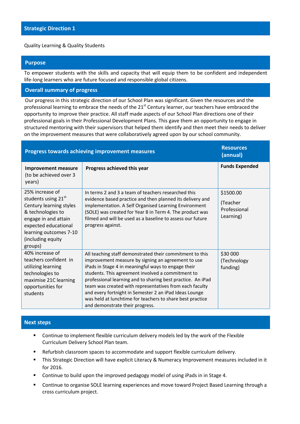## Quality Learning & Quality Students

# **Purpose**

To empower students with the skills and capacity that will equip them to be confident and independent life-long learners who are future focused and responsible global citizens.

## **Overall summary of progress**

Our progress in this strategic direction of our School Plan was significant. Given the resources and the professional learning to embrace the needs of the  $21<sup>st</sup>$  Century learner, our teachers have embraced the opportunity to improve their practice. All staff made aspects of our School Plan directions one of their professional goals in their Professional Development Plans. This gave them an opportunity to engage in structured mentoring with their supervisors that helped them identify and then meet their needs to deliver on the improvement measures that were collaboratively agreed upon by our school community.

| <b>Progress towards achieving improvement measures</b>                                                                                                                                           | <b>Resources</b><br>(annual)                                                                                                                                                                                                                                                                                                                                                                                                                                                                                   |                                                    |
|--------------------------------------------------------------------------------------------------------------------------------------------------------------------------------------------------|----------------------------------------------------------------------------------------------------------------------------------------------------------------------------------------------------------------------------------------------------------------------------------------------------------------------------------------------------------------------------------------------------------------------------------------------------------------------------------------------------------------|----------------------------------------------------|
| <b>Improvement measure</b><br>(to be achieved over 3<br>years)                                                                                                                                   | Progress achieved this year                                                                                                                                                                                                                                                                                                                                                                                                                                                                                    | <b>Funds Expended</b>                              |
| 25% increase of<br>students using 21st<br>Century learning styles<br>& technologies to<br>engage in and attain<br>expected educational<br>learning outcomes 7-10<br>(including equity<br>groups) | In terms 2 and 3 a team of teachers researched this<br>evidence based practice and then planned its delivery and<br>implementation. A Self Organised Learning Environment<br>(SOLE) was created for Year 8 in Term 4. The product was<br>filmed and will be used as a baseline to assess our future<br>progress against.                                                                                                                                                                                       | \$1500.00<br>(Teacher<br>Professional<br>Learning) |
| 40% increase of<br>teachers confident in<br>utilizing learning<br>technologies to<br>maximise 21C learning<br>opportunities for<br>students                                                      | All teaching staff demonstrated their commitment to this<br>improvement measure by signing an agreement to use<br>iPads in Stage 4 in meaningful ways to engage their<br>students. This agreement involved a commitment to<br>professional learning and to sharing best practice. An iPad<br>team was created with representatives from each faculty<br>and every fortnight in Semester 2 an iPad Ideas Lounge<br>was held at lunchtime for teachers to share best practice<br>and demonstrate their progress. | \$30 000<br>(Technology<br>funding)                |

# **Next steps**

- **EXECONTIFY Continue to implement flexible curriculum delivery models led by the work of the Flexible** Curriculum Delivery School Plan team.
- Refurbish classroom spaces to accommodate and support flexible curriculum delivery.
- This Strategic Direction will have explicit Literacy & Numeracy Improvement measures included in it for 2016.
- **Continue to build upon the improved pedagogy model of using iPads in in Stage 4.**
- Continue to organise SOLE learning experiences and move toward Project Based Learning through a cross curriculum project.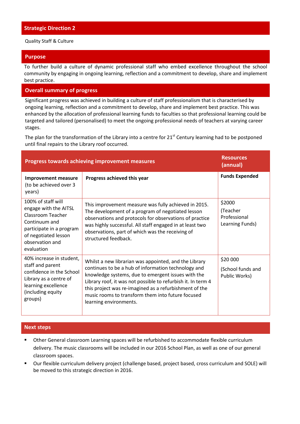Quality Staff & Culture

# **Purpose**

To further build a culture of dynamic professional staff who embed excellence throughout the school community by engaging in ongoing learning, reflection and a commitment to develop, share and implement best practice.

# **Overall summary of progress**

Significant progress was achieved in building a culture of staff professionalism that is characterised by ongoing learning, reflection and a commitment to develop, share and implement best practice. This was enhanced by the allocation of professional learning funds to faculties so that professional learning could be targeted and tailored (personalised) to meet the ongoing professional needs of teachers at varying career stages.

The plan for the transformation of the Library into a centre for  $21<sup>st</sup>$  Century learning had to be postponed until final repairs to the Library roof occurred.

| <b>Progress towards achieving improvement measures</b>                                                                                                                 | <b>Resources</b><br>(annual)                                                                                                                                                                                                                                                                                                                                                |                                                       |
|------------------------------------------------------------------------------------------------------------------------------------------------------------------------|-----------------------------------------------------------------------------------------------------------------------------------------------------------------------------------------------------------------------------------------------------------------------------------------------------------------------------------------------------------------------------|-------------------------------------------------------|
| <b>Improvement measure</b><br>(to be achieved over 3<br>years)                                                                                                         | Progress achieved this year                                                                                                                                                                                                                                                                                                                                                 | <b>Funds Expended</b>                                 |
| 100% of staff will<br>engage with the AITSL<br>Classroom Teacher<br>Continuum and<br>participate in a program<br>of negotiated lesson<br>observation and<br>evaluation | This improvement measure was fully achieved in 2015.<br>The development of a program of negotiated lesson<br>observations and protocols for observations of practice<br>was highly successful. All staff engaged in at least two<br>observations, part of which was the receiving of<br>structured feedback.                                                                | \$2000<br>(Teacher<br>Professional<br>Learning Funds) |
| 40% increase in student,<br>staff and parent<br>confidence in the School<br>Library as a centre of<br>learning excellence<br>(including equity<br>groups)              | Whilst a new librarian was appointed, and the Library<br>continues to be a hub of information technology and<br>knowledge systems, due to emergent issues with the<br>Library roof, it was not possible to refurbish it. In term 4<br>this project was re-imagined as a refurbishment of the<br>music rooms to transform them into future focused<br>learning environments. | \$20 000<br>(School funds and<br>Public Works)        |

# **Next steps**

- Other General classroom Learning spaces will be refurbished to accommodate flexible curriculum delivery. The music classrooms will be included in our 2016 School Plan, as well as one of our general classroom spaces.
- Our flexible curriculum delivery project (challenge based, project based, cross curriculum and SOLE) will be moved to this strategic direction in 2016.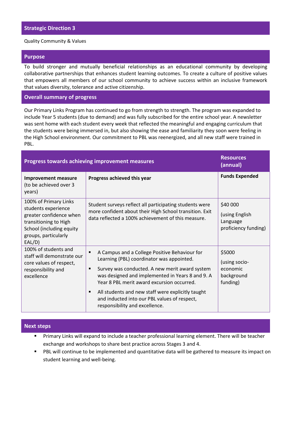#### Quality Community & Values

#### **Purpose**

To build stronger and mutually beneficial relationships as an educational community by developing collaborative partnerships that enhances student learning outcomes. To create a culture of positive values that empowers all members of our school community to achieve success within an inclusive framework that values diversity, tolerance and active citizenship.

# **Overall summary of progress**

Our Primary Links Program has continued to go from strength to strength. The program was expanded to include Year 5 students (due to demand) and was fully subscribed for the entire school year. A newsletter was sent home with each student every week that reflected the meaningful and engaging curriculum that the students were being immersed in, but also showing the ease and familiarity they soon were feeling in the High School environment. Our commitment to PBL was reenergized, and all new staff were trained in PBL.

|                                                                                                                                                                | <b>Progress towards achieving improvement measures</b>                                                                                                                                                                                                                                                                                                                                                                         | <b>Resources</b><br>(annual)                                   |  |
|----------------------------------------------------------------------------------------------------------------------------------------------------------------|--------------------------------------------------------------------------------------------------------------------------------------------------------------------------------------------------------------------------------------------------------------------------------------------------------------------------------------------------------------------------------------------------------------------------------|----------------------------------------------------------------|--|
| <b>Improvement measure</b><br>(to be achieved over 3<br>years)                                                                                                 | Progress achieved this year                                                                                                                                                                                                                                                                                                                                                                                                    | <b>Funds Expended</b>                                          |  |
| 100% of Primary Links<br>students experience<br>greater confidence when<br>transitioning to High<br>School (including equity<br>groups, particularly<br>EAL/D) | Student surveys reflect all participating students were<br>more confident about their High School transition. Exit<br>data reflected a 100% achievement of this measure.                                                                                                                                                                                                                                                       | \$40 000<br>(using English<br>Language<br>proficiency funding) |  |
| 100% of students and<br>staff will demonstrate our<br>core values of respect,<br>responsibility and<br>excellence                                              | A Campus and a College Positive Behaviour for<br>$\blacksquare$<br>Learning (PBL) coordinator was appointed.<br>Survey was conducted. A new merit award system<br>п<br>was designed and implemented in Years 8 and 9. A<br>Year 8 PBL merit award excursion occurred.<br>All students and new staff were explicitly taught<br>$\blacksquare$<br>and inducted into our PBL values of respect,<br>responsibility and excellence. | \$5000<br>(using socio-<br>economic<br>background<br>funding)  |  |

#### **Next steps**

- Primary Links will expand to include a teacher professional learning element. There will be teacher exchange and workshops to share best practice across Stages 3 and 4.
- **PBL will continue to be implemented and quantitative data will be gathered to measure its impact on** student learning and well-being.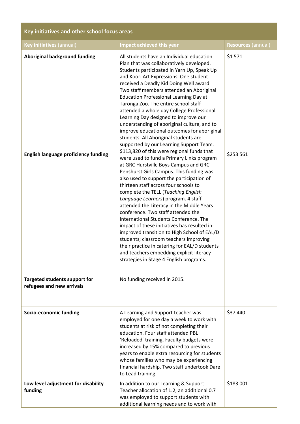| Key initiatives and other school focus areas                      |                                                                                                                                                                                                                                                                                                                                                                                                                                                                                                                                                                                                                                                                                                                                                                |                           |  |  |  |  |
|-------------------------------------------------------------------|----------------------------------------------------------------------------------------------------------------------------------------------------------------------------------------------------------------------------------------------------------------------------------------------------------------------------------------------------------------------------------------------------------------------------------------------------------------------------------------------------------------------------------------------------------------------------------------------------------------------------------------------------------------------------------------------------------------------------------------------------------------|---------------------------|--|--|--|--|
| Key initiatives (annual)                                          | Impact achieved this year                                                                                                                                                                                                                                                                                                                                                                                                                                                                                                                                                                                                                                                                                                                                      | <b>Resources (annual)</b> |  |  |  |  |
| <b>Aboriginal background funding</b>                              | All students have an Individual education<br>Plan that was collaboratively developed.<br>Students participated in Yarn Up, Speak Up<br>and Koori Art Expressions. One student<br>received a Deadly Kid Doing Well award.<br>Two staff members attended an Aboriginal<br><b>Education Professional Learning Day at</b><br>Taronga Zoo. The entire school staff<br>attended a whole day College Professional<br>Learning Day designed to improve our<br>understanding of aboriginal culture, and to<br>improve educational outcomes for aboriginal<br>students. All Aboriginal students are<br>supported by our Learning Support Team.                                                                                                                           | \$1571                    |  |  |  |  |
| <b>English language proficiency funding</b>                       | \$113,820 of this were regional funds that<br>were used to fund a Primary Links program<br>at GRC Hurstville Boys Campus and GRC<br>Penshurst Girls Campus. This funding was<br>also used to support the participation of<br>thirteen staff across four schools to<br>complete the TELL (Teaching English<br>Language Learners) program. 4 staff<br>attended the Literacy in the Middle Years<br>conference. Two staff attended the<br>International Students Conference. The<br>impact of these initiatives has resulted in:<br>improved transition to High School of EAL/D<br>students; classroom teachers improving<br>their practice in catering for EAL/D students<br>and teachers embedding explicit literacy<br>strategies in Stage 4 English programs. | \$253 561                 |  |  |  |  |
| <b>Targeted students support for</b><br>refugees and new arrivals | No funding received in 2015.                                                                                                                                                                                                                                                                                                                                                                                                                                                                                                                                                                                                                                                                                                                                   |                           |  |  |  |  |
| Socio-economic funding                                            | A Learning and Support teacher was<br>employed for one day a week to work with<br>students at risk of not completing their<br>education. Four staff attended PBL<br>'Reloaded' training. Faculty budgets were<br>increased by 15% compared to previous<br>years to enable extra resourcing for students<br>whose families who may be experiencing<br>financial hardship. Two staff undertook Dare<br>to Lead training.                                                                                                                                                                                                                                                                                                                                         | \$37 440                  |  |  |  |  |
| Low level adjustment for disability<br>funding                    | In addition to our Learning & Support<br>Teacher allocation of 1.2, an additional 0.7<br>was employed to support students with<br>additional learning needs and to work with                                                                                                                                                                                                                                                                                                                                                                                                                                                                                                                                                                                   | \$183 001                 |  |  |  |  |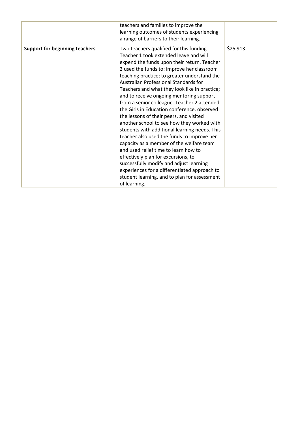|                                       | teachers and families to improve the<br>learning outcomes of students experiencing<br>a range of barriers to their learning.                                                                                                                                                                                                                                                                                                                                                                                                                                                                                                                                                                                                                                                                                                                                                                                                                      |          |
|---------------------------------------|---------------------------------------------------------------------------------------------------------------------------------------------------------------------------------------------------------------------------------------------------------------------------------------------------------------------------------------------------------------------------------------------------------------------------------------------------------------------------------------------------------------------------------------------------------------------------------------------------------------------------------------------------------------------------------------------------------------------------------------------------------------------------------------------------------------------------------------------------------------------------------------------------------------------------------------------------|----------|
| <b>Support for beginning teachers</b> | Two teachers qualified for this funding.<br>Teacher 1 took extended leave and will<br>expend the funds upon their return. Teacher<br>2 used the funds to: improve her classroom<br>teaching practice; to greater understand the<br>Australian Professional Standards for<br>Teachers and what they look like in practice;<br>and to receive ongoing mentoring support<br>from a senior colleague. Teacher 2 attended<br>the Girls in Education conference, observed<br>the lessons of their peers, and visited<br>another school to see how they worked with<br>students with additional learning needs. This<br>teacher also used the funds to improve her<br>capacity as a member of the welfare team<br>and used relief time to learn how to<br>effectively plan for excursions, to<br>successfully modify and adjust learning<br>experiences for a differentiated approach to<br>student learning, and to plan for assessment<br>of learning. | \$25 913 |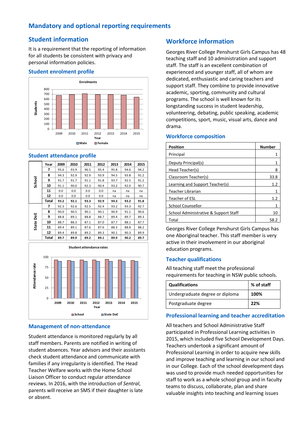# **Mandatory and optional reporting requirements**

# **Student information**

It is a requirement that the reporting of information for all students be consistent with privacy and personal information policies.

# **Student enrolment profile**



# **Student attendance profile**

|        | Year  | 2009 | 2010 | 2011 | 2012 | 2013 | 2014 | 2015 |
|--------|-------|------|------|------|------|------|------|------|
|        | 7     | 95.6 | 93.9 | 96.5 | 95.4 | 95.8 | 94.6 | 94.2 |
|        | 8     | 94.3 | 92.9 | 92.9 | 93.9 | 94.5 | 93.8 | 91.2 |
| School | 9     | 91.7 | 91.7 | 91.1 | 91.8 | 93.7 | 92.5 | 91.2 |
|        | 10    | 91.1 | 90.0 | 92.3 | 90.4 | 93.2 | 92.0 | 90.7 |
|        | 11    | 0.0  | 0.0  | 0.0  | 0.0  | na   | na   | na   |
|        | 12    | 0.0  | 0.0  | 0.0  | 0.0  | na   | na   | na   |
|        | Total | 93.2 | 92.1 | 93.3 | 92.9 | 94.3 | 93.2 | 91.8 |
|        | 7     | 92.3 | 92.6 | 92.5 | 92.4 | 93.2 | 93.3 | 92.7 |
|        | 8     | 90.0 | 90.5 | 90.1 | 90.1 | 90.9 | 91.1 | 90.6 |
| ă      | 9     | 88.8 | 89.1 | 88.8 | 88.7 | 89.4 | 89.7 | 89.3 |
|        | 10    | 88.7 | 88.3 | 87.1 | 87.0 | 87.7 | 88.1 | 87.7 |
| State  | 11    | 89.4 | 89.1 | 87.6 | 87.6 | 88.3 | 88.8 | 88.2 |
|        | 12    | 89.4 | 89.8 | 89.2 | 89.3 | 90.1 | 90.3 | 89.9 |
|        | Total | 89.7 | 89.9 | 89.2 | 89.1 | 89.9 | 90.2 | 89.7 |



# **Management of non-attendance**

Student attendance is monitored regularly by all staff members. Parents are notified in writing of student absences. Year advisors and their assistants check student attendance and communicate with families if any irregularity is identified. The Head Teacher Welfare works with the Home School Liaison Officer to conduct regular attendance reviews. In 2016, with the introduction of *Sentral*, parents will receive an SMS if their daughter is late or absent.

# **Workforce information**

Georges River College Penshurst Girls Campus has 48 teaching staff and 10 administration and support staff. The staff is an excellent combination of experienced and younger staff, all of whom are dedicated, enthusiastic and caring teachers and support staff. They combine to provide innovative academic, sporting, community and cultural programs. The school is well known for its longstanding success in student leadership, volunteering, debating, public speaking, academic competitions, sport, music, visual arts, dance and drama.

# **Workforce composition**

| <b>Position</b>                       | <b>Number</b> |
|---------------------------------------|---------------|
| Principal                             |               |
| Deputy Principal(s)                   |               |
| Head Teacher(s)                       | 8             |
| Classroom Teacher(s)                  | 33.8          |
| Learning and Support Teacher(s)       | 1.2           |
| Teacher Librarian                     |               |
| Teacher of ESL                        | 1.2           |
| <b>School Counsellor</b>              |               |
| School Administrative & Support Staff | 10            |
| Total                                 | 58.2          |

Georges River College Penshurst Girls Campus has one Aboriginal teacher. This staff member is very active in their involvement in our aboriginal education programs.

# **Teacher qualifications**

All teaching staff meet the professional requirements for teaching in NSW public schools.

| <b>Qualifications</b>           | % of staff |
|---------------------------------|------------|
| Undergraduate degree or diploma | 100%       |
| Postgraduate degree             | -22%       |

# **Professional learning and teacher accreditation**

All teachers and School Administrative Staff participated in Professional Learning activities in 2015, which included five School Development Days. Teachers undertook a significant amount of Professional Learning in order to acquire new skills and improve teaching and learning in our school and in our College. Each of the school development days was used to provide much needed opportunities for staff to work as a whole school group and in faculty teams to discuss, collaborate, plan and share valuable insights into teaching and learning issues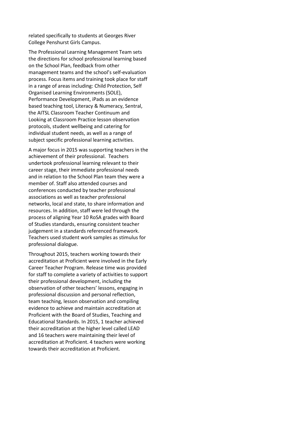related specifically to students at Georges River College Penshurst Girls Campus.

The Professional Learning Management Team sets the directions for school professional learning based on the School Plan, feedback from other management teams and the school's self-evaluation process. Focus items and training took place for staff in a range of areas including: Child Protection, Self Organised Learning Environments (SOLE), Performance Development, iPads as an evidence based teaching tool, Literacy & Numeracy, Sentral, the AITSL Classroom Teacher Continuum and Looking at Classroom Practice lesson observation protocols, student wellbeing and catering for individual student needs, as well as a range of subject specific professional learning activities.

A major focus in 2015 was supporting teachers in the achievement of their professional. Teachers undertook professional learning relevant to their career stage, their immediate professional needs and in relation to the School Plan team they were a member of. Staff also attended courses and conferences conducted by teacher professional associations as well as teacher professional networks, local and state, to share information and resources. In addition, staff were led through the process of aligning Year 10 RoSA grades with Board of Studies standards, ensuring consistent teacher judgement in a standards referenced framework. Teachers used student work samples as stimulus for professional dialogue.

Throughout 2015, teachers working towards their accreditation at Proficient were involved in the Early Career Teacher Program. Release time was provided for staff to complete a variety of activities to support their professional development, including the observation of other teachers' lessons, engaging in professional discussion and personal reflection, team teaching, lesson observation and compiling evidence to achieve and maintain accreditation at Proficient with the Board of Studies, Teaching and Educational Standards. In 2015, 1 teacher achieved their accreditation at the higher level called LEAD and 16 teachers were maintaining their level of accreditation at Proficient. 4 teachers were working towards their accreditation at Proficient.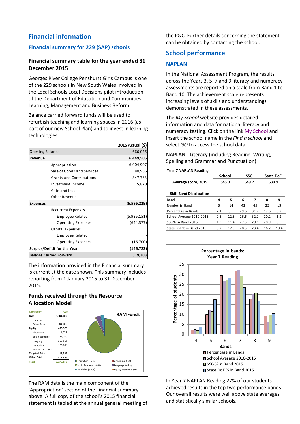# **Financial information**

# **Financial summary for 229 (SAP) schools**

# **Financial summary table for the year ended 31 December 2015**

Georges River College Penshurst Girls Campus is one of the 229 schools in New South Wales involved in the Local Schools Local Decisions pilot introduction of the Department of Education and Communities Learning, Management and Business Reform.

Balance carried forward funds will be used to refurbish teaching and learning spaces in 2016 (as part of our new School Plan) and to invest in learning technologies.

|                                 | 2015 Actual (\$) |
|---------------------------------|------------------|
| Opening Balance                 | 666,026          |
| Revenue                         | 6,449,506        |
| Appropriation                   | 6,004,907        |
| Sale of Goods and Services      | 80,966           |
| <b>Grants and Contributions</b> | 347,763          |
| Investment Income               | 15,870           |
| Gain and loss                   |                  |
| Other Revenue                   |                  |
| <b>Expenses</b>                 | (6,596,229)      |
| Recurrent Expenses              |                  |
| Employee Related                | (5,935,151)      |
| Operating Expenses              | (644, 377)       |
| Capital Expenses                |                  |
| Employee Related                |                  |
| Operating Expenses              | (16, 700)        |
| Surplus/Deficit for the Year    | (146,723)        |
| <b>Balance Carried Forward</b>  | 519,303          |

The information provided in the Financial summary is current at the date shown. This summary includes reporting from 1 January 2015 to 31 December 2015.

# **Funds received through the Resource Allocation Model**



The RAM data is the main component of the 'Appropriation' section of the Financial summary above. A full copy of the school's 2015 financial statement is tabled at the annual general meeting of the P&C. Further details concerning the statement can be obtained by contacting the school.

# **School performance**

# **NAPLAN**

In the National Assessment Program, the results across the Years 3, 5, 7 and 9 literacy and numeracy assessments are reported on a scale from Band 1 to Band 10. The achievement scale represents increasing levels of skills and understandings demonstrated in these assessments.

The *My School* website provides detailed information and data for national literacy and numeracy testing. Click on the link [My School](http://www.myschool.edu.au/) and insert the school name in the *Find a school* and select *GO* to access the school data.

**NAPLAN - Literacy** (including Reading, Writing, Spelling and Grammar and Punctuation)

## **Year 7 NAPLAN Reading**

| <b>I CAI / IVAFLAIV REAUIIIK</b> |               |      |            |      |                  |      |
|----------------------------------|---------------|------|------------|------|------------------|------|
|                                  | <b>School</b> |      | <b>SSG</b> |      | <b>State DoE</b> |      |
| Average score, 2015              | 545.3         |      | 549.2      |      | 538.9            |      |
|                                  |               |      |            |      |                  |      |
| <b>Skill Band Distribution</b>   |               |      |            |      |                  |      |
| Band                             | 4             | 5    | 6          | 7    | 8                | 9    |
| Number in Band                   | 3             | 14   | 42         | 45   | 25               | 13   |
| Percentage in Bands              | 2.1           | 9.9  | 29.6       | 31.7 | 17.6             | 9.2  |
| School Average 2010-2015         | 2.5           | 12.3 | 26.6       | 32.2 | 20.2             | 6.2  |
| SSG % in Band 2015               | 1.9           | 11.4 | 27.3       | 29.1 | 20.9             | 9.5  |
| State DoE % in Band 2015         | 3.7           | 17.5 | 28.3       | 23.4 | 16.7             | 10.4 |



In Year 7 NAPLAN Reading 27% of our students achieved results in the top two performance bands. Our overall results were well above state averages and statistically similar schools.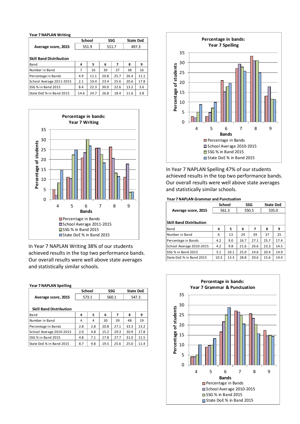#### **Year 7 NAPLAN Writing**

|                                |       | <b>School</b> |       | SSG  |       | <b>State DoE</b> |  |
|--------------------------------|-------|---------------|-------|------|-------|------------------|--|
| Average score, 2015            | 551.9 |               | 511.7 |      | 497.3 |                  |  |
|                                |       |               |       |      |       |                  |  |
| <b>Skill Band Distribution</b> |       |               |       |      |       |                  |  |
| Band                           | 4     | 5             | 6     | 7    | 8     | 9                |  |
| Number in Band                 | 7     | 16            | 30    | 37   | 38    | 16               |  |
| Percentage in Bands            | 4.9   | 11.1          | 20.8  | 25.7 | 26.4  | 11.1             |  |
| School Average 2011-2015       | 2.1   | 10.4          | 23.4  | 25.6 | 20.6  | 17.8             |  |
| SSG % in Band 2015             | 8.4   | 22.3          | 30.0  | 22.6 | 13.2  | 3.6              |  |
| State DoE % in Band 2015       | 14.6  | 24.7          | 26.8  | 18.4 | 11.6  | 3.8              |  |



In Year 7 NAPLAN Writing 38% of our students achieved results in the top two performance bands. Our overall results were well above state averages and statistically similar schools.

#### **Year 7 NAPLAN Spelling**

|                                |       | School | SSG   |      | <b>State DoE</b> |      |
|--------------------------------|-------|--------|-------|------|------------------|------|
| Average score, 2015            | 573.1 |        | 560.1 |      | 547.3            |      |
|                                |       |        |       |      |                  |      |
| <b>Skill Band Distribution</b> |       |        |       |      |                  |      |
| Band                           | 4     | 5      | 6     | 7    | 8                | 9    |
| Number in Band                 | 4     | 4      | 30    | 39   | 48               | 19   |
| Percentage in Bands            | 2.8   | 2.8    | 20.8  | 27.1 | 33.3             | 13.2 |
| School Average 2010-2015       | 2.0   | 4.8    | 15.2  | 29.3 | 30.9             | 17.8 |
| SSG % in Band 2015             | 4.8   | 7.1    | 17.8  | 27.7 | 31.0             | 11.5 |
| State DoE % in Band 2015       | 8.7   | 9.8    | 19.5  | 25.6 | 25.0             | 11.4 |



In Year 7 NAPLAN Spelling 47% of our students achieved results in the top two performance bands. Our overall results were well above state averages and statistically similar schools.

#### **Year 7 NAPLAN Grammar and Punctuation**

|                                |       | <b>School</b> | <b>SSG</b> |      | <b>State DoE</b> |      |
|--------------------------------|-------|---------------|------------|------|------------------|------|
| Average score, 2015            | 561.3 |               | 550.5      |      | 535.0            |      |
|                                |       |               |            |      |                  |      |
| <b>Skill Band Distribution</b> |       |               |            |      |                  |      |
| Band                           | 4     | 5             | 6          | 7    | 8                | 9    |
| Number in Band                 | 6     | 13            | 24         | 39   | 37               | 25   |
| Percentage in Bands            | 4.2   | 9.0           | 16.7       | 27.1 | 25.7             | 17.4 |
| School Average 2010-2015       | 4.2   | 9.8           | 21.6       | 26.6 | 23.3             | 14.5 |
| SSG % in Band 2015             | 5.1   | 10.1          | 25.0       | 24.6 | 20.4             | 14.9 |
| State DoE % in Band 2015       | 10.3  | 13.3          | 28.8       | 20.6 | 15.6             | 14.4 |

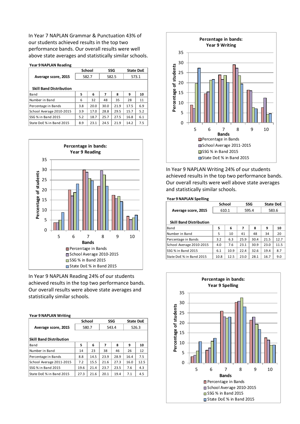In Year 7 NAPLAN Grammar & Punctuation 43% of our students achieved results in the top two performance bands. Our overall results were well above state averages and statistically similar schools.

#### **Year 9 NAPLAN Reading**

|                                | School |      | SSG   |      | <b>State DoE</b> |     |
|--------------------------------|--------|------|-------|------|------------------|-----|
| Average score, 2015            | 582.7  |      | 582.5 |      | 573.1            |     |
|                                |        |      |       |      |                  |     |
| <b>Skill Band Distribution</b> |        |      |       |      |                  |     |
| Band                           | 5      | 6    | 7     | 8    | 9                | 10  |
| Number in Band                 | 6      | 32   | 48    | 35   | 28               | 11  |
| Percentage in Bands            | 3.8    | 20.0 | 30.0  | 21.9 | 17.5             | 6.9 |
| School Average 2010-2015       | 3.9    | 17.0 | 28.8  | 29.5 | 15.7             | 5.2 |
| SSG % in Band 2015             | 5.2    | 18.7 | 25.7  | 27.5 | 16.8             | 6.1 |
| State DoE % in Band 2015       | 8.9    | 23.1 | 24.5  | 21.9 | 14.2             | 7.5 |



In Year 9 NAPLAN Reading 24% of our students achieved results in the top two performance bands. Our overall results were above state averages and statistically similar schools.

#### **Year 9 NAPLAN Writing**

|       |      |               |      | <b>State DoE</b> |      |
|-------|------|---------------|------|------------------|------|
| 580.7 |      | 543.4         |      | 526.3            |      |
|       |      |               |      |                  |      |
|       |      |               |      |                  |      |
| 5     | 6    | 7             | 8    | 9                | 10   |
| 14    | 23   | 38            | 46   | 26               | 12   |
| 8.8   | 14.5 | 23.9          | 28.9 | 16.4             | 7.5  |
| 7.2   | 15.5 | 21.6          | 27.3 | 16.0             | 12.5 |
| 19.6  | 21.4 | 23.7          | 23.5 | 7.6              | 4.3  |
| 27.3  | 21.6 | 20.1          | 19.4 | 7.1              | 4.5  |
|       |      | <b>School</b> |      | <b>SSG</b>       |      |



In Year 9 NAPLAN Writing 24% of our students achieved results in the top two performance bands. Our overall results were well above state averages and statistically similar schools.

#### **Year 9 NAPLAN Spelling**

|                                | School |      | SSG   |      | <b>State DoE</b> |       |
|--------------------------------|--------|------|-------|------|------------------|-------|
| Average score, 2015            | 610.1  |      | 595.4 |      |                  | 583.6 |
|                                |        |      |       |      |                  |       |
| <b>Skill Band Distribution</b> |        |      |       |      |                  |       |
| Band                           | 5      | 6    | 7     | 8    | 9                | 10    |
| Number in Band                 | 5      | 10   | 41    | 48   | 34               | 20    |
| Percentage in Bands            | 3.2    | 6.3  | 25.9  | 30.4 | 21.5             | 12.7  |
| School Average 2010-2015       | 4.0    | 7.6  | 23.1  | 30.9 | 23.0             | 11.5  |
| SSG % in Band 2015             | 6.1    | 10.9 | 22.4  | 32.6 | 19.4             | 8.7   |
| State DoE % in Band 2015       | 10.8   | 12.5 | 23.0  | 28.1 | 16.7             | 9.0   |

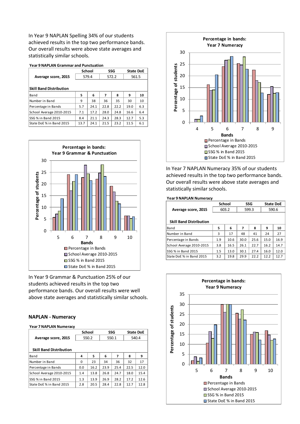In Year 9 NAPLAN Spelling 34% of our students achieved results in the top two performance bands. Our overall results were above state averages and statistically similar schools.

**Year 9 NAPLAN Grammar and Punctuation**

| rear 9 NAPLAN Grammar and Punctuation |      |        |      |                  |       |  |  |  |
|---------------------------------------|------|--------|------|------------------|-------|--|--|--|
|                                       |      | SSG    |      | <b>State DoE</b> |       |  |  |  |
| 579.4                                 |      | 572.2  |      |                  | 561.5 |  |  |  |
|                                       |      |        |      |                  |       |  |  |  |
| <b>Skill Band Distribution</b>        |      |        |      |                  |       |  |  |  |
| 5                                     | 6    | 7      | 8    | 9                | 10    |  |  |  |
| 9                                     | 38   | 36     | 35   | 30               | 10    |  |  |  |
| 5.7                                   | 24.1 | 22.8   | 22.2 | 19.0             | 6.3   |  |  |  |
| 7.1                                   | 17.2 | 28.0   | 24.8 | 16.6             | 6.4   |  |  |  |
| 8.4                                   | 21.1 | 24.3   | 28.3 | 12.7             | 5.3   |  |  |  |
| 13.7                                  | 24.1 | 21.5   | 23.2 | 11.5             | 6.1   |  |  |  |
|                                       |      | School |      |                  |       |  |  |  |



In Year 9 Grammar & Punctuation 25% of our students achieved results in the top two performance bands. Our overall results were well above state averages and statistically similar schools.

## **NAPLAN - Numeracy**

#### **Year 7 NAPLAN Numeracy**

|                                | <b>School</b> |      | SSG   |      | <b>State DoE</b> |      |
|--------------------------------|---------------|------|-------|------|------------------|------|
| Average score, 2015            | 550.2         |      | 550.1 |      | 540.4            |      |
|                                |               |      |       |      |                  |      |
| <b>Skill Band Distribution</b> |               |      |       |      |                  |      |
| Band                           | 4             | 5    | 6     | 7    | 8                | 9    |
| Number in Band                 | 0             | 23   | 34    | 36   | 32               | 17   |
| Percentage in Bands            | 0.0           | 16.2 | 23.9  | 25.4 | 22.5             | 12.0 |
| School Average 2010-2015       | 1.4           | 13.8 | 26.8  | 24.7 | 18.0             | 15.4 |
| SSG % in Band 2015             | 1.3           | 13.9 | 26.9  | 28.2 | 17.2             | 12.6 |
| State DoE % in Band 2015       | 2.8           | 20.5 | 28.4  | 22.8 | 12.7             | 12.8 |



In Year 7 NAPLAN Numeracy 35% of our students achieved results in the top two performance bands. Our overall results were above state averages and statistically similar schools.

#### **Year 9 NAPLAN Numeracy**

|                                | <b>School</b> |      | <b>SSG</b> |      | <b>State DoE</b> |       |
|--------------------------------|---------------|------|------------|------|------------------|-------|
| Average score, 2015            | 603.2         |      | 599.3      |      |                  | 590.6 |
|                                |               |      |            |      |                  |       |
| <b>Skill Band Distribution</b> |               |      |            |      |                  |       |
| Band                           | 5             | 6    | 7          | 8    | 9                | 10    |
| Number in Band                 | 3             | 17   | 48         | 41   | 24               | 27    |
| Percentage in Bands            | 1.9           | 10.6 | 30.0       | 25.6 | 15.0             | 16.9  |
| School Average 2010-2015       | 3.8           | 16.5 | 26.1       | 22.7 | 16.2             | 14.7  |
| SSG % in Band 2015             | 1.5           | 13.0 | 30.1       | 27.4 | 16.0             | 12.0  |
| State DoE % in Band 2015       | 3.2           | 19.8 | 29.9       | 22.2 | 12.2             | 12.7  |

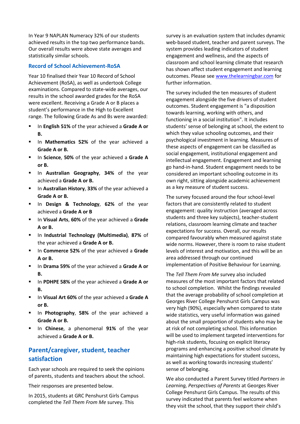In Year 9 NAPLAN Numeracy 32% of our students achieved results in the top two performance bands. Our overall results were above state averages and statistically similar schools.

# **Record of School Achievement-RoSA**

Year 10 finalised their Year 10 Record of School Achievement (RoSA), as well as undertook College examinations. Compared to state-wide averages, our results in the school awarded grades for the RoSA were excellent. Receiving a Grade A or B places a student's performance in the High to Excellent range. The following Grade As and Bs were awarded:

- In **English 51%** of the year achieved a **Grade A or B.**
- In **Mathematics 52%** of the year achieved a **Grade A or B.**
- In **Science**, **50%** of the year achieved a **Grade A or B.**
- In **Australian Geography**, **34%** of the year achieved a **Grade A or B.**
- In **Australian History**, **33%** of the year achieved a **Grade A or B.**
- In **Design & Technology**, **62%** of the year achieved a **Grade A or B**
- In **Visual Arts**, **60%** of the year achieved a **Grade A or B.**
- **E** In Industrial Technology (Multimedia), 87% of the year achieved a **Grade A or B.**
- In **Commerce 52%** of the year achieved a **Grade A or B.**
- In **Drama 59%** of the year achieved a **Grade A or B.**
- In **PDHPE 58%** of the year achieved a **Grade A or B.**
- In **Visual Art 60%** of the year achieved a **Grade A or B.**
- In **Photography**, **58%** of the year achieved a **Grade A or B.**
- **In Chinese**, a phenomenal 91% of the year achieved a **Grade A or B.**

# **Parent/caregiver, student, teacher satisfaction**

Each year schools are required to seek the opinions of parents, students and teachers about the school.

Their responses are presented below.

In 2015, students at GRC Penshurst Girls Campus completed the *Tell Them From Me* survey. This

survey is an evaluation system that includes dynamic web-based student, teacher and parent surveys. The system provides leading indicators of student engagement and wellness, and the aspects of classroom and school learning climate that research has shown affect student engagement and learning outcomes. Please see [www.thelearningbar.com](http://www.thelearningbar.com/) for further information.

The survey included the ten measures of student engagement alongside the five drivers of student outcomes. Student engagement is "a disposition towards learning, working with others, and functioning in a social institution". It includes students' sense of belonging at school, the extent to which they value schooling outcomes, and their psychological investment in learning. Measures of these aspects of engagement can be classified as social engagement, institutional engagement and intellectual engagement. Engagement and learning go hand-in-hand. Student engagement needs to be considered an important schooling outcome in its own right, sitting alongside academic achievement as a key measure of student success.

The survey focused around the four school-level factors that are consistently related to student engagement: quality instruction (averaged across students and three key subjects), teacher-student relations, classroom learning climate and teacher expectations for success. Overall, our results compared favourably when measured against state wide norms. However, there is room to raise student levels of interest and motivation, and this will be an area addressed through our continued implementation of Positive Behaviour for Learning.

The *Tell Them From Me* survey also included measures of the most important factors that related to school completion. Whilst the findings revealed that the average probability of school completion at Georges River College Penshurst Girls Campus was very high (90%), especially when compared to state wide statistics, very useful information was gained about the small proportion of students who may be at risk of not completing school. This information will be used to implement targeted interventions for high-risk students, focusing on explicit literacy programs and enhancing a positive school climate by maintaining high expectations for student success, as well as working towards increasing students' sense of belonging.

We also conducted a Parent Survey titled *Partners in Learning, Perspectives of Parents* at Georges River College Penshurst Girls Campus. The results of this survey indicated that parents feel welcome when they visit the school, that they support their child's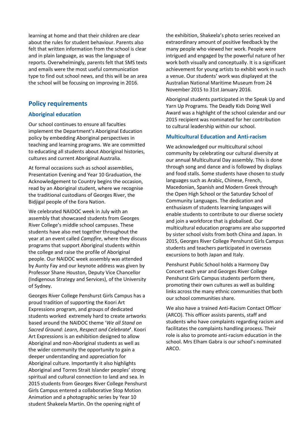learning at home and that their children are clear about the rules for student behaviour. Parents also felt that written information from the school is clear and in plain language, as was the language of reports. Overwhelmingly, parents felt that SMS texts and emails were the most useful communication type to find out school news, and this will be an area the school will be focusing on improving in 2016.

# **Policy requirements**

# **Aboriginal education**

Our school continues to ensure all faculties implement the Department's Aboriginal Education policy by embedding Aboriginal perspectives in teaching and learning programs. We are committed to educating all students about Aboriginal histories, cultures and current Aboriginal Australia.

At formal occasions such as school assemblies, Presentation Evening and Year 10 Graduation, the Acknowledgement to Country begins the occasion, read by an Aboriginal student, where we recognise the traditional custodians of Georges River, the Bidjigal people of the Eora Nation.

We celebrated NAIDOC week in July with an assembly that showcased students from Georges River College's middle school campuses. These students have also met together throughout the year at an event called *Campfire*, where they discuss programs that support Aboriginal students within the college and raise the profile of Aboriginal people. Our NAIDOC week assembly was attended by Aunty Fay and our keynote address was given by Professor Shane Houston, Deputy Vice Chancellor (Indigenous Strategy and Services), of the University of Sydney.

Georges River College Penshurst Girls Campus has a proud tradition of supporting the Koori Art Expressions program, and groups of dedicated students worked extremely hard to create artworks based around the NAIDOC theme '*We all Stand on Sacred Ground: Learn, Respect and Celebrate***'**. Koori Art Expressions is an exhibition designed to allow Aboriginal and non-Aboriginal students as well as the wider community the opportunity to gain a deeper understanding and appreciation for Aboriginal culture. Importantly it also highlights Aboriginal and Torres Strait Islander peoples' strong spiritual and cultural connection to land and sea. In 2015 students from Georges River College Penshurst Girls Campus entered a collaborative Stop Motion Animation and a photographic series by Year 10 student Shakeela Martin. On the opening night of

the exhibition, Shakeela's photo series received an extraordinary amount of positive feedback by the many people who viewed her work. People were intrigued and engaged by the powerful nature of her work both visually and conceptually. It is a significant achievement for young artists to exhibit work in such a venue. Our students' work was displayed at the Australian National Maritime Museum from 24 November 2015 to 31st January 2016.

Aboriginal students participated in the Speak Up and Yarn Up Programs. The Deadly Kids Doing Well Award was a highlight of the school calendar and our 2015 recipient was nominated for her contribution to cultural leadership within our school.

# **Multicultural Education and Anti-racism**

We acknowledged our multicultural school community by celebrating our cultural diversity at our annual Multicultural Day assembly. This is done through song and dance and is followed by displays and food stalls. Some students have chosen to study languages such as Arabic, Chinese, French, Macedonian, Spanish and Modern Greek through the Open High School or the Saturday School of Community Languages. The dedication and enthusiasm of students learning languages will enable students to contribute to our diverse society and join a workforce that is globalised. Our multicultural education programs are also supported by sister school visits from both China and Japan. In 2015, Georges River College Penshurst Girls Campus students and teachers participated in overseas excursions to both Japan and Italy.

Penshurst Public School holds a Harmony Day Concert each year and Georges River College Penshurst Girls Campus students perform there, promoting their own cultures as well as building links across the many ethnic communities that both our school communities share.

We also have a trained Anti-Racism Contact Officer (ARCO). This officer assists parents, staff and students who have complaints regarding racism and facilitates the complaints handling process. Their role is also to promote anti-racism education in the school. Mrs Elham Gabra is our school's nominated ARCO.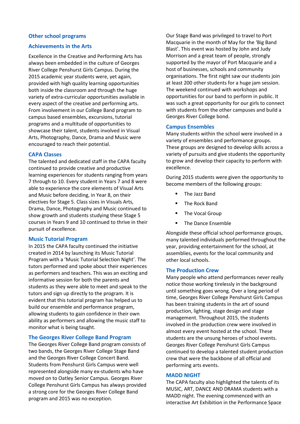# **Other school programs**

## **Achievements in the Arts**

Excellence in the Creative and Performing Arts has always been embedded in the culture of Georges River College Penshurst Girls Campus. During the 2015 academic year students were, yet again, provided with high quality learning opportunities both inside the classroom and through the huge variety of extra-curricular opportunities available in every aspect of the creative and performing arts. From involvement in our College Band program to campus based ensembles, excursions, tutorial programs and a multitude of opportunities to showcase their talent, students involved in Visual Arts, Photography, Dance, Drama and Music were encouraged to reach their potential.

#### **CAPA Classes**

The talented and dedicated staff in the CAPA faculty continued to provide creative and productive learning experiences for students ranging from years 7 through to 10. Every student in Years 7 and 8 were able to experience the core elements of Visual Arts and Music before deciding, in Year 8, on their electives for Stage 5. Class sizes in Visuals Arts, Drama, Dance, Photography and Music continued to show growth and students studying these Stage 5 courses in Years 9 and 10 continued to thrive in their pursuit of excellence.

## **Music Tutorial Program**

In 2015 the CAPA faculty continued the initiative created in 2014 by launching its Music Tutorial Program with a 'Music Tutorial Selection Night'. The tutors performed and spoke about their experiences as performers and teachers. This was an exciting and informative session for both the parents and students as they were able to meet and speak to the tutors and sign up directly to the program. It is evident that this tutorial program has helped us to build our ensemble and performance program, allowing students to gain confidence in their own ability as performers and allowing the music staff to monitor what is being taught.

#### **The Georges River College Band Program**

The Georges River College Band program consists of two bands, the Georges River College Stage Band and the Georges River College Concert Band. Students from Penshurst Girls Campus were well represented alongside many ex-students who have moved on to Oatley Senior Campus. Georges River College Penshurst Girls Campus has always provided a strong core for the Georges River College Band program and 2015 was no exception.

Our Stage Band was privileged to travel to Port Macquarie in the month of May for the 'Big Band Blast'. This event was hosted by John and Judy Morrison and a great team of people, strongly supported by the mayor of Port Macquarie and a host of businesses, schools and community organisations. The first night saw our students join at least 200 other students for a huge jam session. The weekend continued with workshops and opportunities for our band to perform in public. It was such a great opportunity for our girls to connect with students from the other campuses and build a Georges River College bond.

#### **Campus Ensembles**

Many students within the school were involved in a variety of ensembles and performance groups. These groups are designed to develop skills across a variety of pursuits and give students the opportunity to grow and develop their capacity to perform with excellence.

During 2015 students were given the opportunity to become members of the following groups:

- The Jazz Band
- **The Rock Band**
- **The Vocal Group**
- The Dance Ensemble

Alongside these official school performance groups, many talented individuals performed throughout the year, providing entertainment for the school, at assemblies, events for the local community and other local schools.

#### **The Production Crew**

Many people who attend performances never really notice those working tirelessly in the background until something goes wrong. Over a long period of time, Georges River College Penshurst Girls Campus has been training students in the art of sound production, lighting, stage design and stage management. Throughout 2015, the students involved in the production crew were involved in almost every event hosted at the school. These students are the unsung heroes of school events. Georges River College Penshurst Girls Campus continued to develop a talented student production crew that were the backbone of all official and performing arts events.

#### **MADD NIGHT**

The CAPA faculty also highlighted the talents of its MUSIC, ART, DANCE AND DRAMA students with a MADD night. The evening commenced with an interactive Art Exhibition in the Performance Space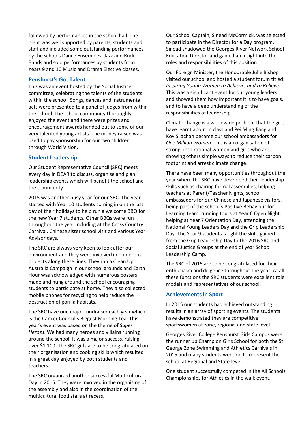followed by performances in the school hall. The night was well supported by parents, students and staff and included some outstanding performances by the schools Dance Ensembles, Jazz and Rock Bands and solo performances by students from Years 9 and 10 Music and Drama Elective classes.

## **Penshurst's Got Talent**

This was an event hosted by the Social Justice committee, celebrating the talents of the students within the school. Songs, dances and instrumental acts were presented to a panel of judges from within the school. The school community thoroughly enjoyed the event and there were prizes and encouragement awards handed out to some of our very talented young artists. The money raised was used to pay sponsorship for our two children through World Vision.

# **Student Leadership**

Our Student Representative Council (SRC) meets every day in DEAR to discuss, organise and plan leadership events which will benefit the school and the community.

2015 was another busy year for our SRC. The year started with Year 10 students coming in on the last day of their holidays to help run a welcome BBQ for the new Year 7 students. Other BBQs were run throughout the year including at the Cross Country Carnival, Chinese sister school visit and various Year Advisor days.

The SRC are always very keen to look after our environment and they were involved in numerous projects along these lines. They ran a Clean Up Australia Campaign in our school grounds and Earth Hour was acknowledged with numerous posters made and hung around the school encouraging students to participate at home. They also collected mobile phones for recycling to help reduce the destruction of gorilla habitats.

The SRC have one major fundraiser each year which is the Cancer Council's Biggest Morning Tea. This year's event was based on the theme of *Super Heroes*. We had many heroes and villains running around the school. It was a major success, raising over \$1 100. The SRC girls are to be congratulated on their organisation and cooking skills which resulted in a great day enjoyed by both students and teachers.

The SRC organised another successful Multicultural Day in 2015. They were involved in the organising of the assembly and also in the coordination of the multicultural food stalls at recess.

Our School Captain, Sinead McCormick, was selected to participate in the Director for a Day program. Sinead shadowed the Georges River Network School Education Director and gained an insight into the roles and responsibilities of this position.

Our Foreign Minister, the Honourable Julie Bishop visited our school and hosted a student forum titled: *Inspiring Young Women to Achieve, and to Believe.*  This was a significant event for our young leaders and showed them how important it is to have goals, and to have a deep understanding of the responsibilities of leadership.

Climate change is a worldwide problem that the girls have learnt about in class and Pei Ming Jiang and Koy Silachan became our school ambassadors for *One Million Women*. This is an organisation of strong, inspirational women and girls who are showing others simple ways to reduce their carbon footprint and arrest climate change.

There have been many opportunities throughout the year where the SRC have developed their leadership skills such as chairing formal assemblies, helping teachers at Parent/Teacher Nights, school ambassadors for our Chinese and Japanese visitors, being part of the school's Positive Behaviour for Learning team, running tours at Year 6 Open Night, helping at Year 7 Orientation Day, attending the National Young Leaders Day and the Grip Leadership Day. The Year 9 students taught the skills gained from the Grip Leadership Day to the 2016 SRC and Social Justice Groups at the end of year School Leadership Camp.

The SRC of 2015 are to be congratulated for their enthusiasm and diligence throughout the year. At all these functions the SRC students were excellent role models and representatives of our school.

# **Achievements in Sport**

In 2015 our students had achieved outstanding results in an array of sporting events. The students have demonstrated they are competitive sportswomen at zone, regional and state level.

Georges River College Penshurst Girls Campus were the runner up Champion Girls School for both the St George Zone Swimming and Athletics Carnivals in 2015 and many students went on to represent the school at Regional and State level.

One student successfully competed in the All Schools Championships for Athletics in the walk event.